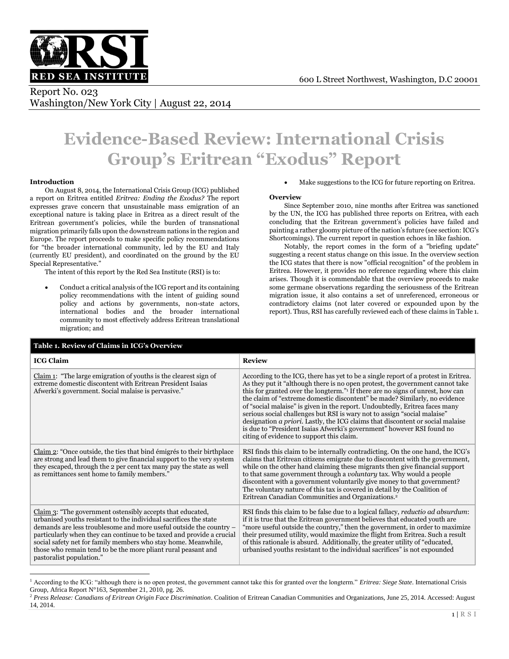

# Report No. 023 Washington/New York City | August 22, 2014

# **Evidence-Based Review: International Crisis Group's Eritrean "Exodus" Report**

# **Introduction**

 $\overline{a}$ 

On August 8, 2014, the International Crisis Group (ICG) published a report on Eritrea entitled *Eritrea: Ending the Exodus?* The report expresses grave concern that unsustainable mass emigration of an exceptional nature is taking place in Eritrea as a direct result of the Eritrean government's policies, while the burden of transnational migration primarily falls upon the downstream nations in the region and Europe. The report proceeds to make specific policy recommendations for "the broader international community, led by the EU and Italy (currently EU president), and coordinated on the ground by the EU Special Representative."

The intent of this report by the Red Sea Institute (RSI) is to:

 Conduct a critical analysis of the ICG report and its containing policy recommendations with the intent of guiding sound policy and actions by governments, non-state actors, international bodies and the broader international community to most effectively address Eritrean translational migration; and

Make suggestions to the ICG for future reporting on Eritrea.

# **Overview**

Since September 2010, nine months after Eritrea was sanctioned by the UN, the ICG has published three reports on Eritrea, with each concluding that the Eritrean government's policies have failed and painting a rather gloomy picture of the nation's future (see section: ICG's Shortcomings). The current report in question echoes in like fashion.

Notably, the report comes in the form of a "briefing update" suggesting a recent status change on this issue. In the overview section the ICG states that there is now "official recognition" of the problem in Eritrea. However, it provides no reference regarding where this claim arises. Though it is commendable that the overview proceeds to make some germane observations regarding the seriousness of the Eritrean migration issue, it also contains a set of unreferenced, erroneous or contradictory claims (not later covered or expounded upon by the report). Thus, RSI has carefully reviewed each of these claims in Table 1.

| Table 1. Review of Claims in ICG's Overview                                                                                                                                                                                                                                                                                                                                                                                                   |                                                                                                                                                                                                                                                                                                                                                                                                                                                                                                                                                                                                                                                                                                                             |  |  |  |
|-----------------------------------------------------------------------------------------------------------------------------------------------------------------------------------------------------------------------------------------------------------------------------------------------------------------------------------------------------------------------------------------------------------------------------------------------|-----------------------------------------------------------------------------------------------------------------------------------------------------------------------------------------------------------------------------------------------------------------------------------------------------------------------------------------------------------------------------------------------------------------------------------------------------------------------------------------------------------------------------------------------------------------------------------------------------------------------------------------------------------------------------------------------------------------------------|--|--|--|
| <b>ICG Claim</b>                                                                                                                                                                                                                                                                                                                                                                                                                              | <b>Review</b>                                                                                                                                                                                                                                                                                                                                                                                                                                                                                                                                                                                                                                                                                                               |  |  |  |
| Claim 1: "The large emigration of youths is the clearest sign of<br>extreme domestic discontent with Eritrean President Isaias<br>Afwerki's government. Social malaise is pervasive."                                                                                                                                                                                                                                                         | According to the ICG, there has yet to be a single report of a protest in Eritrea.<br>As they put it "although there is no open protest, the government cannot take<br>this for granted over the longterm." <sup>1</sup> If there are no signs of unrest, how can<br>the claim of "extreme domestic discontent" be made? Similarly, no evidence<br>of "social malaise" is given in the report. Undoubtedly, Eritrea faces many<br>serious social challenges but RSI is wary not to assign "social malaise"<br>designation <i>a priori</i> . Lastly, the ICG claims that discontent or social malaise<br>is due to "President Isaias Afwerki's government" however RSI found no<br>citing of evidence to support this claim. |  |  |  |
| Claim 2: "Once outside, the ties that bind émigrés to their birthplace<br>are strong and lead them to give financial support to the very system<br>they escaped, through the 2 per cent tax many pay the state as well<br>as remittances sent home to family members."                                                                                                                                                                        | RSI finds this claim to be internally contradicting. On the one hand, the ICG's<br>claims that Eritrean citizens emigrate due to discontent with the government,<br>while on the other hand claiming these migrants then give financial support<br>to that same government through a <i>voluntary</i> tax. Why would a people<br>discontent with a government voluntarily give money to that government?<br>The voluntary nature of this tax is covered in detail by the Coalition of<br>Eritrean Canadian Communities and Organizations. <sup>2</sup>                                                                                                                                                                      |  |  |  |
| Claim 3: "The government ostensibly accepts that educated,<br>urbanised youths resistant to the individual sacrifices the state<br>demands are less troublesome and more useful outside the country -<br>particularly when they can continue to be taxed and provide a crucial<br>social safety net for family members who stay home. Meanwhile,<br>those who remain tend to be the more pliant rural peasant and<br>pastoralist population." | RSI finds this claim to be false due to a logical fallacy, reductio ad absurdum:<br>if it is true that the Eritrean government believes that educated youth are<br>"more useful outside the country," then the government, in order to maximize<br>their presumed utility, would maximize the flight from Eritrea. Such a result<br>of this rationale is absurd. Additionally, the greater utility of "educated,<br>urbanised youths resistant to the individual sacrifices" is not expounded                                                                                                                                                                                                                               |  |  |  |

<sup>1</sup> According to the ICG: "although there is no open protest, the government cannot take this for granted over the longterm." *Eritrea: Siege State*. International Crisis Group, Africa Report N°163, September 21, 2010, pg. 26.

<sup>2</sup> *Press Release: Canadians of Eritrean Origin Face Discrimination*. Coalition of Eritrean Canadian Communities and Organizations, June 25, 2014. Accessed: August 14, 2014.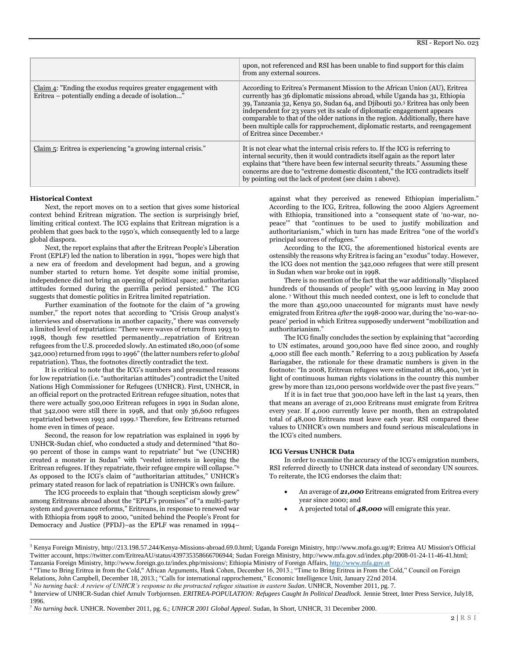|                                                                                                                     | upon, not referenced and RSI has been unable to find support for this claim<br>from any external sources.                                                                                                                                                                                                                                                                                                                                                                                                                          |
|---------------------------------------------------------------------------------------------------------------------|------------------------------------------------------------------------------------------------------------------------------------------------------------------------------------------------------------------------------------------------------------------------------------------------------------------------------------------------------------------------------------------------------------------------------------------------------------------------------------------------------------------------------------|
| Claim 4: "Ending the exodus requires greater engagement with<br>Eritrea – potentially ending a decade of isolation" | According to Eritrea's Permanent Mission to the African Union (AU), Eritrea<br>currently has 36 diplomatic missions abroad, while Uganda has 31, Ethiopia<br>39, Tanzania 32, Kenya 50, Sudan 64, and Djibouti 50.3 Eritrea has only been<br>independent for 23 years yet its scale of diplomatic engagement appears<br>comparable to that of the older nations in the region. Additionally, there have<br>been multiple calls for rapprochement, diplomatic restarts, and reengagement<br>of Eritrea since December. <sup>4</sup> |
| Claim $\overline{5}$ : Eritrea is experiencing "a growing internal crisis."                                         | It is not clear what the internal crisis refers to. If the ICG is referring to<br>internal security, then it would contradicts itself again as the report later<br>explains that "there have been few internal security threats." Assuming these<br>concerns are due to "extreme domestic discontent," the ICG contradicts itself<br>by pointing out the lack of protest (see claim 1 above).                                                                                                                                      |

#### **Historical Context**

 $\overline{a}$ 

Next, the report moves on to a section that gives some historical context behind Eritrean migration. The section is surprisingly brief, limiting critical context. The ICG explains that Eritrean migration is a problem that goes back to the 1950's, which consequently led to a large global diaspora.

Next, the report explains that after the Eritrean People's Liberation Front (EPLF) led the nation to liberation in 1991, "hopes were high that a new era of freedom and development had begun, and a growing number started to return home. Yet despite some initial promise, independence did not bring an opening of political space; authoritarian attitudes formed during the guerrilla period persisted." The ICG suggests that domestic politics in Eritrea limited repatriation.

Further examination of the footnote for the claim of "a growing number," the report notes that according to "Crisis Group analyst's interviews and observations in another capacity," there was conversely a limited level of repatriation: "There were waves of return from 1993 to 1998, though few resettled permanently…repatriation of Eritrean refugees from the U.S. proceeded slowly. An estimated 180,000 (of some 342,000) returned from 1991 to 1996" (the latter numbers refer to *global* repatriation). Thus, the footnotes directly contradict the text.

It is critical to note that the ICG's numbers and presumed reasons for low repatriation (i.e. "authoritarian attitudes") contradict the United Nations High Commissioner for Refugees (UNHCR). First, UNHCR, in an official report on the protracted Eritrean refugee situation, notes that there were actually 500,000 Eritrean refugees in 1991 in Sudan alone, that 342,000 were still there in 1998, and that only 36,600 refugees repatriated between 1993 and 1999.<sup>5</sup> Therefore, few Eritreans returned home even in times of peace.

Second, the reason for low repatriation was explained in 1996 by UNHCR-Sudan chief, who conducted a study and determined "that 80- 90 percent of those in camps want to repatriate" but "we (UNCHR) created a monster in Sudan" with "vested interests in keeping the Eritrean refugees. If they repatriate, their refugee empire will collapse."<sup>6</sup> As opposed to the ICG's claim of "authoritarian attitudes," UNHCR's primary stated reason for lack of repatriation is UNHCR's own failure.

The ICG proceeds to explain that "though scepticism slowly grew" among Eritreans abroad about the "EPLF's promises" of "a multi-party system and governance reforms," Eritreans, in response to renewed war with Ethiopia from 1998 to 2000, "united behind the People's Front for Democracy and Justice (PFDJ)–as the EPLF was renamed in 1994–

against what they perceived as renewed Ethiopian imperialism." According to the ICG, Eritrea, following the 2000 Algiers Agreement with Ethiopia, transitioned into a "consequent state of 'no-war, nopeace'" that "continues to be used to justify mobilization and authoritarianism," which in turn has made Eritrea "one of the world's principal sources of refugees."

According to the ICG, the aforementioned historical events are ostensibly the reasons why Eritrea is facing an "exodus" today. However, the ICG does not mention the 342,000 refugees that were still present in Sudan when war broke out in 1998.

There is no mention of the fact that the war additionally "displaced hundreds of thousands of people" with 95,000 leaving in May 2000 alone. <sup>7</sup> Without this much needed context, one is left to conclude that the more than 450,000 unaccounted for migrants must have newly emigrated from Eritrea *after* the 1998-2000 war, during the 'no-war-nopeace' period in which Eritrea supposedly underwent "mobilization and authoritarianism."

The ICG finally concludes the section by explaining that "according to UN estimates, around 300,000 have fled since 2000, and roughly 4,000 still flee each month." Referring to a 2013 publication by Assefa Bariagaber, the rationale for these dramatic numbers is given in the footnote: "In 2008, Eritrean refugees were estimated at 186,400, 'yet in light of continuous human rights violations in the country this number grew by more than 121,000 persons worldwide over the past five years.'"

If it is in fact true that 300,000 have left in the last 14 years, then that means an average of 21,000 Eritreans must emigrate from Eritrea every year. If 4,000 currently leave per month, then an extrapolated total of 48,000 Eritreans must leave each year. RSI compared these values to UNHCR's own numbers and found serious miscalculations in the ICG's cited numbers.

#### **ICG Versus UNHCR Data**

In order to examine the accuracy of the ICG's emigration numbers, RSI referred directly to UNHCR data instead of secondary UN sources. To reiterate, the ICG endorses the claim that:

- An average of *21,000* Eritreans emigrated from Eritrea every year since 2000; and
- A projected total of *48,000* will emigrate this year.

<sup>3</sup> Kenya Foreign Ministry, http://213.198.57.244/Kenya-Missions-abroad.69.0.html; Uganda Foreign Ministry, http://www.mofa.go.ug/#; Eritrea AU Mission's Official Twitter account, https://twitter.com/EritreaAU/status/439735358666706944; Sudan Foreign Ministry, http://www.mfa.gov.sd/index.php/2008-01-24-11-46-41.html; Tanzania Foreign Ministry, http://www.foreign.go.tz/index.php/missions/; Ethiopia Ministry of Foreign Affairs[, http://www.mfa.gov.et](http://www.mfa.gov.et/)

<sup>&</sup>lt;sup>4</sup> "Time to Bring Eritrea in from the Cold," African Arguments, Hank Cohen, December 16, 2013.; "Time to Bring Eritrea in From the Cold," Council on Foreign Relations, John Campbell, December 18, 2013.; "Calls for international rapprochement," Economic Intelligence Unit, January 22nd 2014.

*<sup>5</sup> No turning back: A review of UNHCR's response to the protracted refugee situation in eastern Sudan*. UNHCR, November 2011, pg. 7.

<sup>&</sup>lt;sup>6</sup> Interview of UNHCR-Sudan chief Arnulv Torbjornsen. *ERITREA-POPULATION: Refugees Caught In Political Deadlock*. Jennie Street, Inter Press Service, July18, 1996.

<sup>7</sup> *No turning back.* UNHCR. November 2011, pg. 6.; *UNHCR 2001 Global Appeal*. Sudan, In Short, UNHCR, 31 December 2000.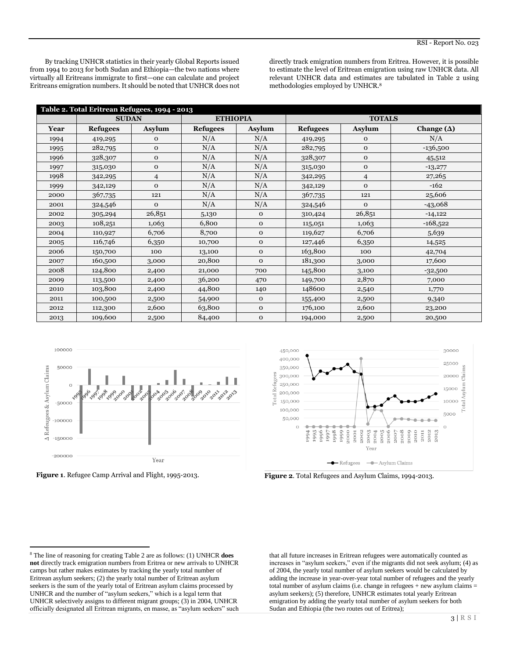By tracking UNHCR statistics in their yearly Global Reports issued from 1994 to 2013 for both Sudan and Ethiopia—the two nations where virtually all Eritreans immigrate to first—one can calculate and project Eritreans emigration numbers. It should be noted that UNHCR does not directly track emigration numbers from Eritrea. However, it is possible to estimate the level of Eritrean emigration using raw UNHCR data. All relevant UNHCR data and estimates are tabulated in Table 2 using methodologies employed by UNHCR.<sup>8</sup>

| Table 2. Total Eritrean Refugees, 1994 - 2013 |                 |               |                 |              |                 |                |                   |
|-----------------------------------------------|-----------------|---------------|-----------------|--------------|-----------------|----------------|-------------------|
|                                               | <b>SUDAN</b>    |               | <b>ETHIOPIA</b> |              | <b>TOTALS</b>   |                |                   |
| Year                                          | <b>Refugees</b> | <b>Asylum</b> | <b>Refugees</b> | Asylum       | <b>Refugees</b> | Asylum         | Change $(\Delta)$ |
| 1994                                          | 419,295         | 0             | N/A             | N/A          | 419,295         | $\mathbf 0$    | N/A               |
| 1995                                          | 282,795         | $\mathbf 0$   | N/A             | N/A          | 282,795         | $\mathbf{O}$   | $-136,500$        |
| 1996                                          | 328,307         | $\mathbf 0$   | N/A             | N/A          | 328,307         | $\mathbf{O}$   | 45,512            |
| 1997                                          | 315,030         | $\mathbf 0$   | N/A             | N/A          | 315,030         | $\mathbf{O}$   | $-13,277$         |
| 1998                                          | 342,295         | 4             | N/A             | N/A          | 342,295         | $\overline{4}$ | 27,265            |
| 1999                                          | 342,129         | $\mathbf{O}$  | N/A             | N/A          | 342,129         | $\mathbf{O}$   | $-162$            |
| 2000                                          | 367,735         | 121           | N/A             | N/A          | 367,735         | 121            | 25,606            |
| 2001                                          | 324,546         | $\mathbf{O}$  | N/A             | N/A          | 324,546         | $\Omega$       | $-43,068$         |
| 2002                                          | 305,294         | 26,851        | 5,130           | $\mathbf{O}$ | 310,424         | 26,851         | $-14,122$         |
| 2003                                          | 108,251         | 1,063         | 6,800           | $\mathbf{O}$ | 115,051         | 1,063          | $-168,522$        |
| 2004                                          | 110,927         | 6,706         | 8,700           | $\mathbf{O}$ | 119,627         | 6,706          | 5,639             |
| 2005                                          | 116,746         | 6,350         | 10,700          | $\mathbf 0$  | 127,446         | 6,350          | 14,525            |
| 2006                                          | 150,700         | 100           | 13,100          | $\mathbf 0$  | 163,800         | 100            | 42,704            |
| 2007                                          | 160,500         | 3,000         | 20,800          | $\mathbf{O}$ | 181,300         | 3,000          | 17,600            |
| 2008                                          | 124,800         | 2,400         | 21,000          | 700          | 145,800         | 3,100          | $-32,500$         |
| 2009                                          | 113,500         | 2,400         | 36,200          | 470          | 149,700         | 2,870          | 7,000             |
| 2010                                          | 103,800         | 2,400         | 44,800          | 140          | 148600          | 2,540          | 1,770             |
| 2011                                          | 100,500         | 2,500         | 54,900          | $\mathbf{O}$ | 155,400         | 2,500          | 9,340             |
| 2012                                          | 112,300         | 2,600         | 63,800          | $\mathbf 0$  | 176,100         | 2,600          | 23,200            |
| 2013                                          | 109,600         | 2,500         | 84,400          | $\mathbf 0$  | 194,000         | 2,500          | 20,500            |



**Figure 1**. Refugee Camp Arrival and Flight, 1995-2013. **Figure 2**. Total Refugees and Asylum Claims, 1994-2013.



that all future increases in Eritrean refugees were automatically counted as increases in "asylum seekers," even if the migrants did not seek asylum; (4) as of 2004, the yearly total number of asylum seekers would be calculated by adding the increase in year-over-year total number of refugees and the yearly total number of asylum claims (i.e. change in refugees + new asylum claims = asylum seekers); (5) therefore, UNHCR estimates total yearly Eritrean emigration by adding the yearly total number of asylum seekers for both Sudan and Ethiopia (the two routes out of Eritrea);

 $\overline{\phantom{a}}$ <sup>8</sup> The line of reasoning for creating Table 2 are as follows: (1) UNHCR **does not** directly track emigration numbers from Eritrea or new arrivals to UNHCR camps but rather makes estimates by tracking the yearly total number of Eritrean asylum seekers; (2) the yearly total number of Eritrean asylum seekers is the sum of the yearly total of Eritrean asylum claims processed by UNHCR and the number of "asylum seekers," which is a legal term that UNHCR selectively assigns to different migrant groups; (3) in 2004, UNHCR officially designated all Eritrean migrants, en masse, as "asylum seekers" such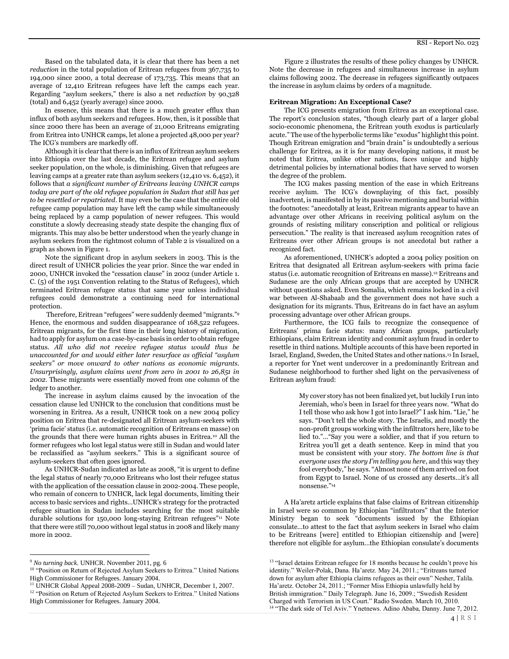Based on the tabulated data, it is clear that there has been a net *reduction* in the total population of Eritrean refugees from 367,735 to 194,000 since 2000, a total decrease of 173,735. This means that an average of 12,410 Eritrean refugees have left the camps each year. Regarding "asylum seekers," there is also a net *reduction* by 90,328 (total) and 6,452 (yearly average) since 2000.

In essence, this means that there is a much greater efflux than influx of both asylum seekers and refugees. How, then, is it possible that since 2000 there has been an average of 21,000 Eritreans emigrating from Eritrea into UNHCR camps, let alone a projected 48,000 per year? The ICG's numbers are markedly off.

Although it is clear that there is an influx of Eritrean asylum seekers into Ethiopia over the last decade, the Eritrean refugee and asylum seeker population, on the whole, is diminishing. Given that refugees are leaving camps at a greater rate than asylum seekers (12,410 vs. 6,452), it follows that *a significant number of Eritreans leaving UNHCR camps today are part of the old refugee population in Sudan that still has yet to be resettled or repatriated*. It may even be the case that the entire old refugee camp population may have left the camp while simultaneously being replaced by a camp population of newer refugees. This would constitute a slowly decreasing steady state despite the changing flux of migrants. This may also be better understood when the yearly change in asylum seekers from the rightmost column of Table 2 is visualized on a graph as shown in Figure 1.

Note the significant drop in asylum seekers in 2003. This is the direct result of UNHCR policies the year prior. Since the war ended in 2000, UNHCR invoked the "cessation clause" in 2002 (under Article 1. C. (5) of the 1951 Convention relating to the Status of Refugees), which terminated Eritrean refugee status that same year unless individual refugees could demonstrate a continuing need for international protection.

Therefore, Eritrean "refugees" were suddenly deemed "migrants."<sup>9</sup> Hence, the enormous and sudden disappearance of 168,522 refugees. Eritrean migrants, for the first time in their long history of migration, had to apply for asylum on a case-by-case basis in order to obtain refugee status. *All who did not receive refugee status would thus be unaccounted for and would either later resurface as official "asylum seekers" or move onward to other nations as economic migrants. Unsurprisingly, asylum claims went from zero in 2001 to 26,851 in 2002.* These migrants were essentially moved from one column of the ledger to another.

The increase in asylum claims caused by the invocation of the cessation clause led UNHCR to the conclusion that conditions must be worsening in Eritrea. As a result, UNHCR took on a new 2004 policy position on Eritrea that re-designated all Eritrean asylum-seekers with 'prima facie' status (i.e. automatic recognition of Eritreans en masse) on the grounds that there were human rights abuses in Eritrea.<sup>10</sup> All the former refugees who lost legal status were still in Sudan and would later be reclassified as "asylum seekers." This is a significant source of asylum-seekers that often goes ignored.

As UNHCR-Sudan indicated as late as 2008, "it is urgent to define the legal status of nearly 70,000 Eritreans who lost their refugee status with the application of the cessation clause in 2002-2004. These people, who remain of concern to UNHCR, lack legal documents, limiting their access to basic services and rights…UNHCR's strategy for the protracted refugee situation in Sudan includes searching for the most suitable durable solutions for 150,000 long-staying Eritrean refugees"<sup>11</sup> Note that there were still 70,000 without legal status in 2008 and likely many more in 2002.

 $\overline{\phantom{a}}$ 

Figure 2 illustrates the results of these policy changes by UNHCR. Note the decrease in refugees and simultaneous increase in asylum claims following 2002. The decrease in refugees significantly outpaces the increase in asylum claims by orders of a magnitude.

# **Eritrean Migration: An Exceptional Case?**

The ICG presents emigration from Eritrea as an exceptional case. The report's conclusion states, "though clearly part of a larger global socio-economic phenomena, the Eritrean youth exodus is particularly acute." The use of the hyperbolic terms like "exodus" highlight this point. Though Eritrean emigration and "brain drain" is undoubtedly a serious challenge for Eritrea, as it is for many developing nations, it must be noted that Eritrea, unlike other nations, faces unique and highly detrimental policies by international bodies that have served to worsen the degree of the problem.

The ICG makes passing mention of the ease in which Eritreans receive asylum. The ICG's downplaying of this fact, possibly inadvertent, is manifested in by its passive mentioning and burial within the footnotes: "anecdotally at least, Eritrean migrants appear to have an advantage over other Africans in receiving political asylum on the grounds of resisting military conscription and political or religious persecution." The reality is that increased asylum recognition rates of Eritreans over other African groups is not anecdotal but rather a recognized fact.

As aforementioned, UNHCR's adopted a 2004 policy position on Eritrea that designated all Eritrean asylum-seekers with prima facie status (i.e. automatic recognition of Eritreans en masse).<sup>12</sup> Eritreans and Sudanese are the only African groups that are accepted by UNHCR without questions asked. Even Somalia, which remains locked in a civil war between Al-Shabaab and the government does not have such a designation for its migrants. Thus, Eritreans do in fact have an asylum processing advantage over other African groups.

Furthermore, the ICG fails to recognize the consequence of Eritreans' prima facie status: many African groups, particularly Ethiopians, claim Eritrean identity and commit asylum fraud in order to resettle in third nations. Multiple accounts of this have been reported in Israel, England, Sweden, the United States and other nations.<sup>13</sup> In Israel, a reporter for Ynet went undercover in a predominantly Eritrean and Sudanese neighborhood to further shed light on the pervasiveness of Eritrean asylum fraud:

> My cover story has not been finalized yet, but luckily I run into Jeremiah, who's been in Israel for three years now. "What do I tell those who ask how I got into Israel?" I ask him. "Lie," he says. "Don't tell the whole story. The Israelis, and mostly the non-profit groups working with the infiltrators here, like to be lied to."…"Say you were a soldier, and that if you return to Eritrea you'll get a death sentence. Keep in mind that you must be consistent with your story. *The bottom line is that everyone uses the story I'm telling you here*, and this way they fool everybody," he says. "Almost none of them arrived on foot from Egypt to Israel. None of us crossed any deserts…it's all nonsense."<sup>14</sup>

A Ha'aretz article explains that false claims of Eritrean citizenship in Israel were so common by Ethiopian "infiltrators" that the Interior Ministry began to seek "documents issued by the Ethiopian consulate…to attest to the fact that asylum seekers in Israel who claim to be Eritreans [were] entitled to Ethiopian citizenship and [were] therefore not eligible for asylum…the Ethiopian consulate's documents

<sup>9</sup> *No turning back.* UNHCR. November 2011, pg. 6

<sup>&</sup>lt;sup>10</sup> "Position on Return of Rejected Asylum Seekers to Eritrea." United Nations High Commissioner for Refugees. January 2004.

<sup>11</sup> UNHCR Global Appeal 2008-2009 – Sudan, UNHCR, December 1, 2007.

<sup>&</sup>lt;sup>12</sup> "Position on Return of Rejected Asylum Seekers to Eritrea." United Nations High Commissioner for Refugees. January 2004.

<sup>&</sup>lt;sup>13</sup> "Israel detains Eritrean refugee for 18 months because he couldn't prove his identity." Weiler-Polak, Dana. Ha'aretz. May 24, 2011.; "Eritreans turned down for asylum after Ethiopia claims refugees as their own" Nesher, Talila. Ha'aretz. October 24, 2011.; "Former Miss Ethiopia unlawfully held by British immigration." Daily Telegraph. June 16, 2009.; "Swedish Resident Charged with Terrorism in US Court." Radio Sweden. March 10, 2010. <sup>14</sup> "The dark side of Tel Aviv." Ynetnews. Adino Ababa, Danny. June 7, 2012.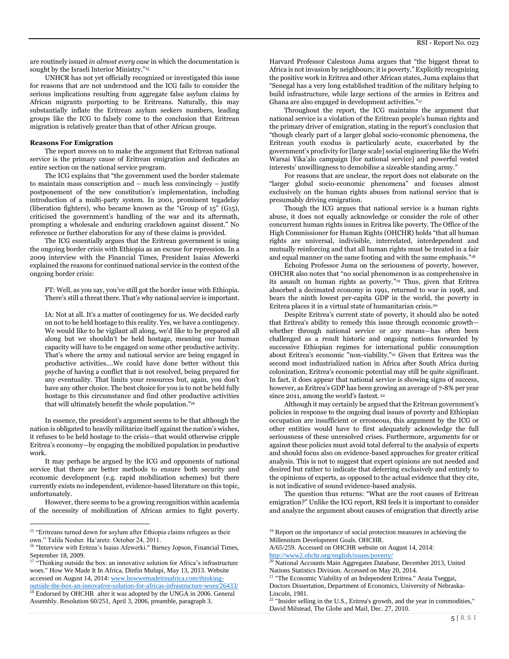are routinely issued *in almost every case* in which the documentation is sought by the Israeli Interior Ministry."<sup>15</sup>

UNHCR has not yet officially recognized or investigated this issue for reasons that are not understood and the ICG fails to consider the serious implications resulting from aggregate false asylum claims by African migrants purporting to be Eritreans. Naturally, this may substantially inflate the Eritrean asylum seekers numbers, leading groups like the ICG to falsely come to the conclusion that Eritrean migration is relatively greater than that of other African groups.

#### **Reasons For Emigration**

The report moves on to make the argument that Eritrean national service is the primary cause of Eritrean emigration and dedicates an entire section on the national service program.

The ICG explains that "the government used the border stalemate to maintain mass conscription and – much less convincingly – justify postponement of the new constitution's implementation, including introduction of a multi-party system. In 2001, prominent tegadelay (liberation fighters), who became known as the "Group of 15" (G15), criticised the government's handling of the war and its aftermath, prompting a wholesale and enduring crackdown against dissent." No reference or further elaboration for any of these claims is provided.

The ICG essentially argues that the Eritrean government is using the ongoing border crisis with Ethiopia as an excuse for repression. In a 2009 interview with the Financial Times, President Isaias Afewerki explained the reasons for continued national service in the context of the ongoing border crisis:

FT: Well, as you say, you've still got the border issue with Ethiopia. There's still a threat there. That's why national service is important.

IA: Not at all. It's a matter of contingency for us. We decided early on not to be held hostage to this reality. Yes, we have a contingency. We would like to be vigilant all along, we'd like to be prepared all along but we shouldn't be held hostage, meaning our human capacity will have to be engaged on some other productive activity. That's where the army and national service are being engaged in productive activities….We could have done better without this psyche of having a conflict that is not resolved, being prepared for any eventuality. That limits your resources but, again, you don't have any other choice. The best choice for you is to not be held fully hostage to this circumstance and find other productive activities that will ultimately benefit the whole population."<sup>16</sup>

In essence, the president's argument seems to be that although the nation is obligated to heavily militarize itself against the nation's wishes, it refuses to be held hostage to the crisis—that would otherwise cripple Eritrea's economy—by engaging the mobilized population in productive work.

It may perhaps be argued by the ICG and opponents of national service that there are better methods to ensure both security and economic development (e.g. rapid mobilization schemes) but there currently exists no independent, evidence-based literature on this topic, unfortunately.

However, there seems to be a growing recognition within academia of the necessity of mobilization of African armies to fight poverty.

 $\overline{a}$ 

<sup>18</sup> Endorsed by OHCHR after it was adopted by the UNGA in 2006. General Assembly. Resolution 60/251, April 3, 2006, preamble, paragraph 3.

Harvard Professor Calestous Juma argues that "the biggest threat to Africa is not invasion by neighbours; it is poverty." Explicitly recognizing the positive work in Eritrea and other African states, Juma explains that "Senegal has a very long established tradition of the military helping to build infrastructure, while large sections of the armies in Eritrea and Ghana are also engaged in development activities."<sup>17</sup>

Throughout the report, the ICG maintains the argument that national service is a violation of the Eritrean people's human rights and the primary driver of emigration, stating in the report's conclusion that "though clearly part of a larger global socio-economic phenomena, the Eritrean youth exodus is particularly acute, exacerbated by the government's proclivity for [large scale] social engineering like the Wefri Warsai Yika'alo campaign [for national service] and powerful vested interests' unwillingness to demobilise a sizeable standing army."

For reasons that are unclear, the report does not elaborate on the "larger global socio-economic phenomena" and focuses almost exclusively on the human rights abuses from national service that is presumably driving emigration.

Though the ICG argues that national service is a human rights abuse, it does not equally acknowledge or consider the role of other concurrent human rights issues in Eritrea like poverty. The Office of the High Commissioner for Human Rights (OHCHR) holds "that all human rights are universal, indivisible, interrelated, interdependent and mutually reinforcing and that all human rights must be treated in a fair and equal manner on the same footing and with the same emphasis."<sup>18</sup>

Echoing Professor Juma on the seriousness of poverty, however, OHCHR also notes that "no social phenomenon is as comprehensive in its assault on human rights as poverty."<sup>19</sup> Thus, given that Eritrea absorbed a decimated economy in 1991, returned to war in 1998, and bears the ninth lowest per-capita GDP in the world, the poverty in Eritrea places it in a virtual state of humanitarian crisis.<sup>20</sup>

Despite Eritrea's current state of poverty, it should also be noted that Eritrea's ability to remedy this issue through economic growth whether through national service or any means—has often been challenged as a result historic and ongoing notions forwarded by successive Ethiopian regimes for international public consumption about Eritrea's economic "non-viability."<sup>21</sup> Given that Eritrea was the second most industrialized nation in Africa after South Africa during colonization, Eritrea's economic potential may still be quite significant. In fact, it does appear that national service is showing signs of success, however, as Eritrea's GDP has been growing an average of 7-8% per year since 2011, among the world's fastest. <sup>22</sup>

Although it may certainly be argued that the Eritrean government's policies in response to the ongoing dual issues of poverty and Ethiopian occupation are insufficient or erroneous, this argument by the ICG or other entities would have to first adequately acknowledge the full seriousness of these unresolved crises. Furthermore, arguments for or against these policies must avoid total deferral to the analysis of experts and should focus also on evidence-based approaches for greater critical analysis. This is not to suggest that expert opinions are not needed and desired but rather to indicate that deferring exclusively and entirely to the opinions of experts, as opposed to the actual evidence that they cite, is not indicative of sound evidence-based analysis.

The question thus returns: "What are the root causes of Eritrean emigration?" Unlike the ICG report, RSI feels it is important to consider and analyze the argument about causes of emigration that directly arise

A/65/259. Accessed on OHCHR website on August 14, 2014:

<sup>&</sup>lt;sup>15</sup> "Eritreans turned down for asylum after Ethiopia claims refugees as their own." Talila Nesher. Ha'aretz. October 24, 2011.

<sup>&</sup>lt;sup>16</sup> "Interview with Eritrea's Isaias Afewerki." Barney Jopson, Financial Times, September 18, 2009.

 $17$  "Thinking outside the box: an innovative solution for Africa's infrastructure woes." How We Made It In Africa, Dinfin Mulupi, May 13, 2013. Website accessed on August 14, 2014[: www.howwemadeitinafrica.com/thinking](http://www.howwemadeitinafrica.com/thinking-outside-the-box-an-innovative-solution-for-africas-infrastructure-woes/26433/)[outside-the-box-an-innovative-solution-for-africas-infrastructure-woes/26433/](http://www.howwemadeitinafrica.com/thinking-outside-the-box-an-innovative-solution-for-africas-infrastructure-woes/26433/)

<sup>&</sup>lt;sup>19</sup> Report on the importance of social protection measures in achieving the Millennium Development Goals. OHCHR.

<http://www2.ohchr.org/english/issues/poverty/>

<sup>&</sup>lt;sup>20</sup> National Accounts Main Aggregates Database, December 2013, United Nations Statistics Division. Accessed on May 20, 2014.

<sup>&</sup>lt;sup>21</sup> "The Economic Viability of an Independent Eritrea." Araia Tseggai,

Doctors Dissertation, Department of Economics, University of Nebraska-Lincoln, 1981.

<sup>&</sup>lt;sup>22</sup> "Insider selling in the U.S., Eritrea's growth, and the year in commodities," David Milstead, The Globe and Mail, Dec. 27, 2010.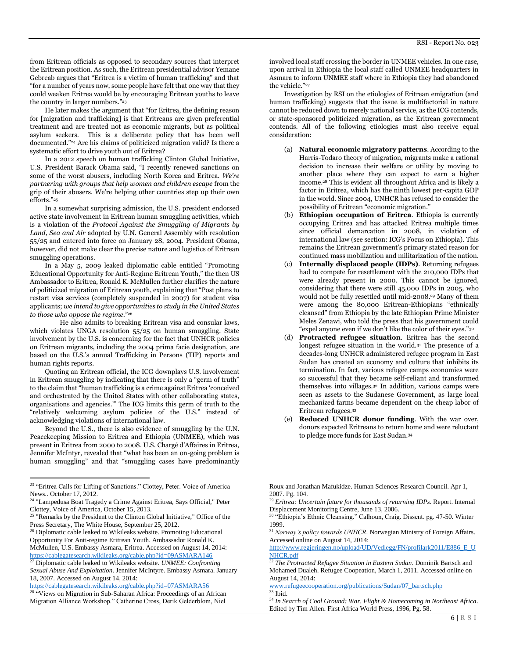from Eritrean officials as opposed to secondary sources that interpret the Eritrean position. As such, the Eritrean presidential advisor Yemane Gebreab argues that "Eritrea is a victim of human trafficking" and that "for a number of years now, some people have felt that one way that they could weaken Eritrea would be by encouraging Eritrean youths to leave the country in larger numbers."<sup>23</sup>

He later makes the argument that "for Eritrea, the defining reason for [migration and trafficking] is that Eritreans are given preferential treatment and are treated not as economic migrants, but as political asylum seekers. This is a deliberate policy that has been well documented."<sup>24</sup> Are his claims of politicized migration valid? Is there a systematic effort to drive youth out of Eritrea?

In a 2012 speech on human trafficking Clinton Global Initiative, U.S. President Barack Obama said, "I recently renewed sanctions on some of the worst abusers, including North Korea and Eritrea. *We're partnering with groups that help women and children escape* from the grip of their abusers. We're helping other countries step up their own efforts." 25

In a somewhat surprising admission, the U.S. president endorsed active state involvement in Eritrean human smuggling activities, which is a violation of the *Protocol Against the Smuggling of Migrants by Land, Sea and Air* adopted by U.N. General Assembly with resolution 55/25 and entered into force on January 28, 2004. President Obama, however, did not make clear the precise nature and logistics of Eritrean smuggling operations.

In a May 5, 2009 leaked diplomatic cable entitled "Promoting Educational Opportunity for Anti-Regime Eritrean Youth," the then US Ambassador to Eritrea, Ronald K. McMullen further clarifies the nature of politicized migration of Eritrean youth, explaining that "Post plans to restart visa services (completely suspended in 2007) for student visa applicants; *we intend to give opportunities to study in the United States to those who oppose the regime*."<sup>26</sup>

He also admits to breaking Eritrean visa and consular laws, which violates UNGA resolution 55/25 on human smuggling. State involvement by the U.S. is concerning for the fact that UNHCR policies on Eritrean migrants, including the 2004 prima facie designation, are based on the U.S.'s annual Trafficking in Persons (TIP) reports and human rights reports.

Quoting an Eritrean official, the ICG downplays U.S. involvement in Eritrean smuggling by indicating that there is only a "germ of truth" to the claim that "human trafficking is a crime against Eritrea 'conceived and orchestrated by the United States with other collaborating states, organisations and agencies.'" The ICG limits this germ of truth to the "relatively welcoming asylum policies of the U.S." instead of acknowledging violations of international law.

Beyond the U.S., there is also evidence of smuggling by the U.N. Peacekeeping Mission to Eritrea and Ethiopia (UNMEE), which was present in Eritrea from 2000 to 2008. U.S. Chargé d'Affaires in Eritrea, Jennifer McIntyr, revealed that "what has been an on-going problem is human smuggling" and that "smuggling cases have predominantly

 $\overline{\phantom{a}}$ 

<https://cablegatesearch.wikileaks.org/cable.php?id=07ASMARA56>

<sup>28</sup> "Views on Migration in Sub-Saharan Africa: Proceedings of an African Migration Alliance Workshop." Catherine Cross, Derik Gelderblom, Niel

involved local staff crossing the border in UNMEE vehicles. In one case, upon arrival in Ethiopia the local staff called UNMEE headquarters in Asmara to inform UNMEE staff where in Ethiopia they had abandoned the vehicle<sup>"27</sup>

Investigation by RSI on the etiologies of Eritrean emigration (and human trafficking) suggests that the issue is multifactorial in nature cannot be reduced down to merely national service, as the ICG contends, or state-sponsored politicized migration, as the Eritrean government contends. All of the following etiologies must also receive equal consideration:

- (a) **Natural economic migratory patterns**. According to the Harris-Todaro theory of migration, migrants make a rational decision to increase their welfare or utility by moving to another place where they can expect to earn a higher income.<sup>28</sup> This is evident all throughout Africa and is likely a factor in Eritrea, which has the ninth lowest per-capita GDP in the world. Since 2004, UNHCR has refused to consider the possibility of Eritrean "economic migration."
- (b) **Ethiopian occupation of Eritrea**. Ethiopia is currently occupying Eritrea and has attacked Eritrea multiple times since 0fficial demarcation in 2008, in violation of international law (see section: ICG's Focus on Ethiopia). This remains the Eritrean government's primary stated reason for continued mass mobilization and militarization of the nation.
- (c) **Internally displaced people (IDPs)**. Returning refugees had to compete for resettlement with the 210,000 IDPs that were already present in 2000. This cannot be ignored, considering that there were still 45,000 IDPs in 2005, who would not be fully resettled until mid-2008.<sup>29</sup> Many of them were among the 80,000 Eritrean-Ethiopians "ethnically cleansed" from Ethiopia by the late Ethiopian Prime Minister Meles Zenawi, who told the press that his government could "expel anyone even if we don't like the color of their eyes."<sup>30</sup>
- (d) **Protracted refugee situation**. Eritrea has the second longest refugee situation in the world.<sup>31</sup> The presence of a decades-long UNHCR administered refugee program in East Sudan has created an economy and culture that inhibits its termination. In fact, various refugee camps economies were so successful that they became self-reliant and transformed themselves into villages.<sup>32</sup> In addition, various camps were seen as assets to the Sudanese Government, as large local mechanized farms became dependent on the cheap labor of Eritrean refugees.<sup>33</sup>
- **Reduced UNHCR donor funding.** With the war over, donors expected Eritreans to return home and were reluctant to pledge more funds for East Sudan.<sup>34</sup>

Roux and Jonathan Mafukidze. Human Sciences Research Council. Apr 1, 2007. Pg. 104.

<sup>29</sup> *Eritrea: Uncertain future for thousands of returning IDPs*. Report. Internal Displacement Monitoring Centre, June 13, 2006. <sup>30</sup> "Ethiopia's Ethnic Cleansing." Calhoun, Craig. Dissent. pg. 47-50. Winter

1999.

<sup>31</sup> *Norway's policy towards UNHCR*. Norwegian Ministry of Foreign Affairs. Accessed online on August 14, 2014:

[http://www.regjeringen.no/upload/UD/Vedlegg/FN/profilark2011/E886\\_E\\_U](http://www.regjeringen.no/upload/UD/Vedlegg/FN/profilark2011/E886_E_UNHCR.pdf) [NHCR.pdf](http://www.regjeringen.no/upload/UD/Vedlegg/FN/profilark2011/E886_E_UNHCR.pdf)

<sup>32</sup> *The Protracted Refugee Situation in Eastern Sudan*. Dominik Bartsch and Mohamed Dualeh. Refugee Coopeation, March 1, 2011. Accessed online on August 14, 2014:

[www.refugeecooperation.org/publications/Sudan/07\\_bartsch.php](http://www.refugeecooperation.org/publications/Sudan/07_bartsch.php)  $33$  Ibid.

<sup>34</sup> *In Search of Cool Ground: War, Flight & Homecoming in Northeast Africa*. Edited by Tim Allen. First Africa World Press, 1996, Pg. 58.

<sup>&</sup>lt;sup>23</sup> "Eritrea Calls for Lifting of Sanctions." Clottey, Peter. Voice of America News.. October 17, 2012.

<sup>&</sup>lt;sup>24</sup> "Lampedusa Boat Tragedy a Crime Against Eritrea, Says Official," Peter Clottey, Voice of America, October 15, 2013.

<sup>&</sup>lt;sup>25</sup> "Remarks by the President to the Clinton Global Initiative," Office of the Press Secretary, The White House, September 25, 2012.

<sup>&</sup>lt;sup>26</sup> Diplomatic cable leaked to Wikileaks website. Promoting Educational Opportunity For Anti-regime Eritrean Youth. Ambassador Ronald K. McMullen, U.S. Embassy Asmara, Eritrea. Accessed on August 14, 2014: <https://cablegatesearch.wikileaks.org/cable.php?id=09ASMARA146>

<sup>27</sup> Diplomatic cable leaked to Wikileaks website. *UNMEE: Confronting Sexual Abuse And Exploitation*. Jennifer McIntyre. Embassy Asmara. January 18, 2007. Accessed on August 14, 2014: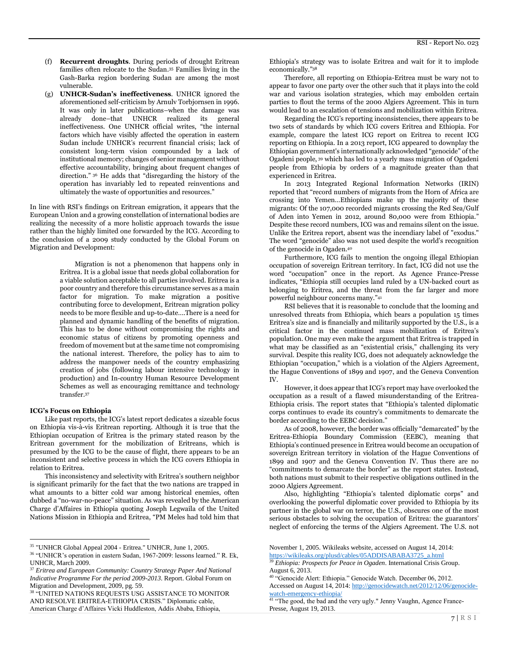- (f) **Recurrent droughts**. During periods of drought Eritrean families often relocate to the Sudan.<sup>35</sup> Families living in the Gash-Barka region bordering Sudan are among the most vulnerable.
- (g) **UNHCR-Sudan's ineffectiveness**. UNHCR ignored the aforementioned self-criticism by Arnulv Torbjornsen in 1996. It was only in later publications–when the damage was already done–that UNHCR realized its general ineffectiveness. One UNHCR official writes, "the internal factors which have visibly affected the operation in eastern Sudan include UNHCR's recurrent financial crisis; lack of consistent long-term vision compounded by a lack of institutional memory; changes of senior management without effective accountability, bringing about frequent changes of direction." <sup>36</sup> He adds that "disregarding the history of the operation has invariably led to repeated reinventions and ultimately the waste of opportunities and resources."

In line with RSI's findings on Eritrean emigration, it appears that the European Union and a growing constellation of international bodies are realizing the necessity of a more holistic approach towards the issue rather than the highly limited one forwarded by the ICG. According to the conclusion of a 2009 study conducted by the Global Forum on Migration and Development:

> Migration is not a phenomenon that happens only in Eritrea. It is a global issue that needs global collaboration for a viable solution acceptable to all parties involved. Eritrea is a poor country and therefore this circumstance serves as a main factor for migration. To make migration a positive contributing force to development, Eritrean migration policy needs to be more flexible and up-to-date….There is a need for planned and dynamic handling of the benefits of migration. This has to be done without compromising the rights and economic status of citizens by promoting openness and freedom of movement but at the same time not compromising the national interest. Therefore, the policy has to aim to address the manpower needs of the country emphasizing creation of jobs (following labour intensive technology in production) and In-country Human Resource Development Schemes as well as encouraging remittance and technology transfer.<sup>37</sup>

#### **ICG's Focus on Ethiopia**

 $\overline{a}$ 

Like past reports, the ICG's latest report dedicates a sizeable focus on Ethiopia vis-à-vis Eritrean reporting. Although it is true that the Ethiopian occupation of Eritrea is the primary stated reason by the Eritrean government for the mobilization of Eritreans, which is presumed by the ICG to be the cause of flight, there appears to be an inconsistent and selective process in which the ICG covers Ethiopia in relation to Eritrea.

This inconsistency and selectivity with Eritrea's southern neighbor is significant primarily for the fact that the two nations are trapped in what amounts to a bitter cold war among historical enemies, often dubbed a "no-war-no-peace" situation. As was revealed by the American Charge d'Affaires in Ethiopia quoting Joseph Legwaila of the United Nations Mission in Ethiopia and Eritrea, "PM Meles had told him that Ethiopia's strategy was to isolate Eritrea and wait for it to implode economically."<sup>38</sup>

Therefore, all reporting on Ethiopia-Eritrea must be wary not to appear to favor one party over the other such that it plays into the cold war and various isolation strategies, which may embolden certain parties to flout the terms of the 2000 Algiers Agreement. This in turn would lead to an escalation of tensions and mobilization within Eritrea.

Regarding the ICG's reporting inconsistencies, there appears to be two sets of standards by which ICG covers Eritrea and Ethiopia. For example, compare the latest ICG report on Eritrea to recent ICG reporting on Ethiopia. In a 2013 report, ICG appeared to downplay the Ethiopian government's internationally acknowledged "genocide" of the Ogadeni people, <sup>39</sup> which has led to a yearly mass migration of Ogadeni people from Ethiopia by orders of a magnitude greater than that experienced in Eritrea.

In 2013 Integrated Regional Information Networks (IRIN) reported that "record numbers of migrants from the Horn of Africa are crossing into Yemen…Ethiopians make up the majority of these migrants: Of the 107,000 recorded migrants crossing the Red Sea/Gulf of Aden into Yemen in 2012, around 80,000 were from Ethiopia." Despite these record numbers, ICG was and remains silent on the issue. Unlike the Eritrea report, absent was the incendiary label of "exodus." The word "genocide" also was not used despite the world's recognition of the genocide in Ogaden. 40

Furthermore, ICG fails to mention the ongoing illegal Ethiopian occupation of sovereign Eritrean territory. In fact, ICG did not use the word "occupation" once in the report. As Agence France-Presse indicates, "Ethiopia still occupies land ruled by a UN-backed court as belonging to Eritrea, and the threat from the far larger and more powerful neighbour concerns many."<sup>41</sup>

RSI believes that it is reasonable to conclude that the looming and unresolved threats from Ethiopia, which bears a population 15 times Eritrea's size and is financially and militarily supported by the U.S., is a critical factor in the continued mass mobilization of Eritrea's population. One may even make the argument that Eritrea is trapped in what may be classified as an "existential crisis," challenging its very survival. Despite this reality ICG, does not adequately acknowledge the Ethiopian "occupation," which is a violation of the Algiers Agreement, the Hague Conventions of 1899 and 1907, and the Geneva Convention IV.

However, it does appear that ICG's report may have overlooked the occupation as a result of a flawed misunderstanding of the Eritrea-Ethiopia crisis. The report states that "Ethiopia's talented diplomatic corps continues to evade its country's commitments to demarcate the border according to the EEBC decision."

As of 2008, however, the border was officially "demarcated" by the Eritrea-Ethiopia Boundary Commission (EEBC), meaning that Ethiopia's continued presence in Eritrea would become an occupation of sovereign Eritrean territory in violation of the Hague Conventions of 1899 and 1907 and the Geneva Convention IV. Thus there are no "commitments to demarcate the border" as the report states. Instead, both nations must submit to their respective obligations outlined in the 2000 Algiers Agreement.

Also, highlighting "Ethiopia's talented diplomatic corps" and overlooking the powerful diplomatic cover provided to Ethiopia by its partner in the global war on terror, the U.S., obscures one of the most serious obstacles to solving the occupation of Eritrea: the guarantors' neglect of enforcing the terms of the Algiers Agreement. The U.S. not

<sup>35</sup> "UNHCR Global Appeal 2004 - Eritrea." UNHCR, June 1, 2005.

<sup>36</sup> "UNHCR's operation in eastern Sudan, 1967-2009: lessons learned." R. Ek, UNHCR, March 2009.

<sup>37</sup> *Eritrea and European Community: Country Strategy Paper And National Indicative Programme For the period 2009-2013*. Report. Global Forum on Migration and Development, 2009, pg. 59.

<sup>38</sup> "UNITED NATIONS REQUESTS USG ASSISTANCE TO MONITOR AND RESOLVE ERITREA-ETHIOPIA CRISIS." Diplomatic cable, American Charge d'Affaires Vicki Huddleston, Addis Ababa, Ethiopia,

November 1, 2005. Wikileaks website, accessed on August 14, 2014: [https://wikileaks.org/plusd/cables/05ADDISABABA3725\\_a.html](https://wikileaks.org/plusd/cables/05ADDISABABA3725_a.html)

<sup>39</sup> *Ethiopia: Prospects for Peace in Ogaden*. International Crisis Group. August 6, 2013.

<sup>&</sup>lt;sup>40</sup> "Genocide Alert: Ethiopia." Genocide Watch. December 06, 2012. Accessed on August 14, 2014[: http://genocidewatch.net/2012/12/06/genocide](http://genocidewatch.net/2012/12/06/genocide-watch-emergency-ethiopia/)[watch-emergency-ethiopia/](http://genocidewatch.net/2012/12/06/genocide-watch-emergency-ethiopia/)

<sup>&</sup>lt;sup>41</sup> "The good, the bad and the very ugly." Jenny Vaughn, Agence France-Presse, August 19, 2013.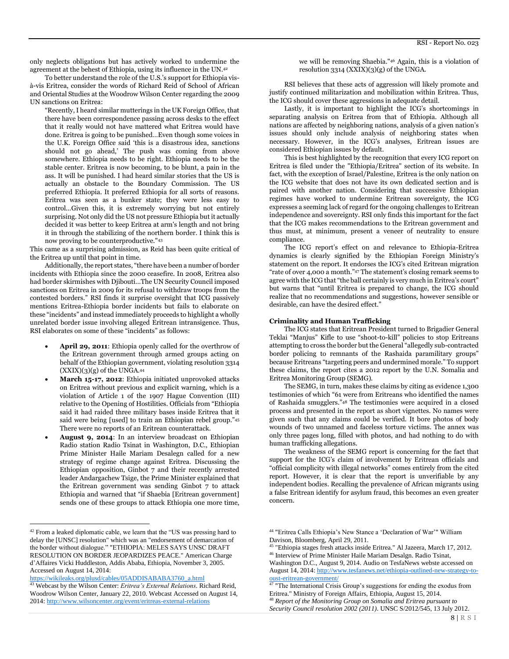only neglects obligations but has actively worked to undermine the agreement at the behest of Ethiopia, using its influence in the UN.<sup>42</sup>

To better understand the role of the U.S.'s support for Ethiopia visà-vis Eritrea, consider the words of Richard Reid of School of African and Oriental Studies at the Woodrow Wilson Center regarding the 2009 UN sanctions on Eritrea:

"Recently, I heard similar mutterings in the UK Foreign Office, that there have been correspondence passing across desks to the effect that it really would not have mattered what Eritrea would have done. Eritrea is going to be punished…Even though some voices in the U.K. Foreign Office said 'this is a disastrous idea, sanctions should not go ahead,' The push was coming from above somewhere. Ethiopia needs to be right. Ethiopia needs to be the stable center. Eritrea is now becoming, to be blunt, a pain in the ass. It will be punished. I had heard similar stories that the US is actually an obstacle to the Boundary Commission. The US preferred Ethiopia. It preferred Ethiopia for all sorts of reasons. Eritrea was seen as a bunker state; they were less easy to control...Given this, it is extremely worrying but not entirely surprising. Not only did the US not pressure Ethiopia but it actually decided it was better to keep Eritrea at arm's length and not bring it in through the stabilizing of the northern border. I think this is now proving to be counterproductive."<sup>43</sup>

This came as a surprising admission, as Reid has been quite critical of the Eritrea up until that point in time.

Additionally, the report states, "there have been a number of border incidents with Ethiopia since the 2000 ceasefire. In 2008, Eritrea also had border skirmishes with Djibouti…The UN Security Council imposed sanctions on Eritrea in 2009 for its refusal to withdraw troops from the contested borders." RSI finds it surprise oversight that ICG passively mentions Eritrea-Ethiopia border incidents but fails to elaborate on these "incidents" and instead immediately proceeds to highlight a wholly unrelated border issue involving alleged Eritrean intransigence. Thus, RSI elaborates on some of these "incidents" as follows:

- **April 29, 2011**: Ethiopia openly called for the overthrow of the Eritrean government through armed groups acting on behalf of the Ethiopian government, violating resolution 3314  $(XXIX)(3)(g)$  of the UNGA. $44$
- **March 15-17, 2012**: Ethiopia initiated unprovoked attacks on Eritrea without previous and explicit warning, which is a violation of Article 1 of the 1907 Hague Convention (III) relative to the Opening of Hostilities. Officials from "Ethiopia said it had raided three military bases inside Eritrea that it said were being [used] to train an Ethiopian rebel group."<sup>45</sup> There were no reports of an Eritrean counterattack.
- **August 9, 2014**: In an interview broadcast on Ethiopian Radio station Radio Tsinat in Washington, D.C., Ethiopian Prime Minister Haile Mariam Desalegn called for a new strategy of regime change against Eritrea. Discussing the Ethiopian opposition, Ginbot 7 and their recently arrested leader Andargachew Tsige, the Prime Minister explained that the Eritrean government was sending Ginbot 7 to attack Ethiopia and warned that "if Shaebia [Eritrean government] sends one of these groups to attack Ethiopia one more time,

[https://wikileaks.org/plusd/cables/05ADDISABABA3760\\_a.html](https://wikileaks.org/plusd/cables/05ADDISABABA3760_a.html)

 $\overline{a}$ 

we will be removing Shaebia."<sup>46</sup> Again, this is a violation of resolution 3314 (XXIX)(3)(g) of the UNGA.

RSI believes that these acts of aggression will likely promote and justify continued militarization and mobilization within Eritrea. Thus, the ICG should cover these aggressions in adequate detail.

Lastly, it is important to highlight the ICG's shortcomings in separating analysis on Eritrea from that of Ethiopia. Although all nations are affected by neighboring nations, analysis of a given nation's issues should only include analysis of neighboring states when necessary. However, in the ICG's analyses, Eritrean issues are considered Ethiopian issues by default.

This is best highlighted by the recognition that every ICG report on Eritrea is filed under the "Ethiopia/Eritrea" section of its website. In fact, with the exception of Israel/Palestine, Eritrea is the only nation on the ICG website that does not have its own dedicated section and is paired with another nation. Considering that successive Ethiopian regimes have worked to undermine Eritrean sovereignty, the ICG expresses a seeming lack of regard for the ongoing challenges to Eritrean independence and sovereignty. RSI only finds this important for the fact that the ICG makes recommendations to the Eritrean government and thus must, at minimum, present a veneer of neutrality to ensure compliance.

The ICG report's effect on and relevance to Ethiopia-Eritrea dynamics is clearly signified by the Ethiopian Foreign Ministry's statement on the report. It endorses the ICG's cited Eritrean migration "rate of over 4,000 a month."<sup>47</sup> The statement's closing remark seems to agree with the ICG that "the ball certainly is very much in Eritrea's court" but warns that "until Eritrea is prepared to change, the ICG should realize that no recommendations and suggestions, however sensible or desirable, can have the desired effect."

#### **Criminality and Human Trafficking**

The ICG states that Eritrean President turned to Brigadier General Teklai "Manjus" Kifle to use "shoot-to-kill" policies to stop Eritreans attempting to cross the border but the General "allegedly sub-contracted border policing to remnants of the Rashaida paramilitary groups" because Eritreans "targeting peers and undermined morale." To support these claims, the report cites a 2012 report by the U.N. Somalia and Eritrea Monitoring Group (SEMG).

The SEMG, in turn, makes these claims by citing as evidence 1,300 testimonies of which "61 were from Eritreans who identified the names of Rashaida smugglers."<sup>48</sup> The testimonies were acquired in a closed process and presented in the report as short vignettes. No names were given such that any claims could be verified. It bore photos of body wounds of two unnamed and faceless torture victims. The annex was only three pages long, filled with photos, and had nothing to do with human trafficking allegations.

The weakness of the SEMG report is concerning for the fact that support for the ICG's claim of involvement by Eritrean officials and "official complicity with illegal networks" comes entirely from the cited report. However, it is clear that the report is unverifiable by any independent bodies. Recalling the prevalence of African migrants using a false Eritrean identify for asylum fraud, this becomes an even greater concern.

Washington D.C., August 9, 2014. Audio on TesfaNews webste accessed on August 14, 2014[: http://www.tesfanews.net/ethiopia-outlined-new-strategy-to](http://www.tesfanews.net/ethiopia-outlined-new-strategy-to-oust-eritrean-government/)[oust-eritrean-government/](http://www.tesfanews.net/ethiopia-outlined-new-strategy-to-oust-eritrean-government/)

<sup>&</sup>lt;sup>42</sup> From a leaked diplomatic cable, we learn that the "US was pressing hard to delay the [UNSC] resolution" which was an "endorsement of demarcation of the border without dialogue." "ETHIOPIA: MELES SAYS UNSC DRAFT RESOLUTION ON BORDER JEOPARDIZES PEACE." American Charge d'Affaires Vicki Huddleston, Addis Ababa, Ethiopia, November 3, 2005. Accessed on August 14, 2014:

<sup>43</sup> Webcast by the Wilson Center: *Eritrea's External Relations*. Richard Reid, Woodrow Wilson Center, January 22, 2010. Webcast Accessed on August 14, 2014[: http://www.wilsoncenter.org/event/eritreas-external-relations](http://www.wilsoncenter.org/event/eritreas-external-relations)

<sup>44</sup> "Eritrea Calls Ethiopia's New Stance a 'Declaration of War'" William Davison, Bloomberg, April 29, 2011.

<sup>45</sup> "Ethiopia stages fresh attacks inside Eritrea." Al Jazeera, March 17, 2012. <sup>46</sup> Interview of Prime Minister Haile Mariam Desalgn. Radio Tsinat,

<sup>&</sup>lt;sup>47</sup> "The International Crisis Group's suggestions for ending the exodus from Eritrea." Ministry of Foreign Affairs, Ethiopia, August 15, 2014.

<sup>48</sup> *Report of the Monitoring Group on Somalia and Eritrea pursuant to Security Council resolution 2002 (2011)*. UNSC S/2012/545, 13 July 2012.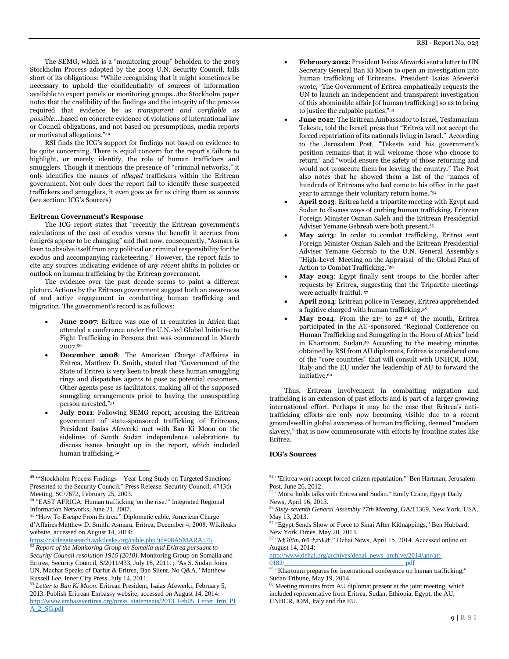The SEMG, which is a "monitoring group" beholden to the 2003 Stockholm Process adopted by the 2003 U.N. Security Council, falls short of its obligations: "While recognizing that it might sometimes be necessary to uphold the confidentiality of sources of information available to expert panels or monitoring groups…the Stockholm paper notes that the credibility of the findings and the integrity of the process required that evidence be as *transparent and verifiable as possible*….based on concrete evidence of violations of international law or Council obligations, and not based on presumptions, media reports or motivated allegations."<sup>49</sup>

RSI finds the ICG's support for findings not based on evidence to be quite concerning. There is equal concern for the report's failure to highlight, or merely identify, the role of human traffickers and smugglers. Though it mentions the presence of "criminal networks," it only identifies the names of *alleged* traffickers within the Eritrean government. Not only does the report fail to identify these suspected traffickers and smugglers, it even goes as far as citing them as sources (see section: ICG's Sources)

# **Eritrean Government's Response**

The ICG report states that "recently the Eritrean government's calculations of the cost of exodus versus the benefit it accrues from émigrés appear to be changing" and that now, consequently, "Asmara is keen to absolve itself from any political or criminal responsibility for the exodus and accompanying racketeering." However, the report fails to cite any sources indicating evidence of any *recent* shifts in policies or outlook on human trafficking by the Eritrean government.

The evidence over the past decade seems to paint a different picture. Actions by the Eritrean government suggest both an awareness of and active engagement in combatting human trafficking and migration. The government's record is as follows:

- **June 2007**: Eritrea was one of 11 countries in Africa that attended a conference under the U.N.-led Global Initiative to Fight Trafficking in Persons that was commenced in March 2007.<sup>50</sup>
- **December 2008**: The American Charge d'Affaires in Eritrea, Matthew D. Smith, stated that "Government of the State of Eritrea is very keen to break these human smuggling rings and dispatches agents to pose as potential customers. Other agents pose as facilitators, making all of the supposed smuggling arrangements prior to having the unsuspecting person arrested."<sup>51</sup>
- July 2011: Following SEMG report, accusing the Eritrean government of state-sponsored trafficking of Eritreans, President Isaias Afewerki met with Ban Ki Moon on the sidelines of South Sudan independence celebrations to discuss issues brought up in the report, which included human trafficking.<sup>52</sup>

 $\overline{a}$ 

<sup>51</sup> "How To Escape From Eritrea." Diplomatic cable, American Charge d'Affaires Matthew D. Smith, Asmara, Eritrea, December 4, 2008. Wikileaks website, accessed on August 14, 2014:

<https://cablegatesearch.wikileaks.org/cable.php?id=08ASMARA575>

- **February 2012**: President Isaias Afewerki sent a letter to UN Secretary General Ban Ki Moon to open an investigation into human trafficking of Eritreans. President Isaias Afewerki wrote, "The Government of Eritrea emphatically requests the UN to launch an independent and transparent investigation of this abominable affair [of human trafficking] so as to bring to justice the culpable parties."<sup>53</sup>
- **June 2012**: The Eritrean Ambassador to Israel, Tesfamariam Tekeste, told the Israeli press that "Eritrea will not accept the forced repatriation of its nationals living in Israel." According to the Jerusalem Post, "Tekeste said his government's position remains that it will welcome those who choose to return" and "would ensure the safety of those returning and would not prosecute them for leaving the country." The Post also notes that he showed them a list of the "names of hundreds of Eritreans who had come to his office in the past year to arrange their voluntary return home."<sup>54</sup>
- **April 2013**: Eritrea held a tripartite meeting with Egypt and Sudan to discuss ways of curbing human trafficking. Eritrean Foreign Minister Osman Saleh and the Eritrean Presidential Adviser Yemane Gebreab were both present.<sup>55</sup>
- **May 2013**: In order to combat trafficking, Eritrea sent Foreign Minister Osman Saleh and the Eritrean Presidential Adviser Yemane Gebreab to the U.N. General Assembly's "High-Level Meeting on the Appraisal of the Global Plan of Action to Combat Trafficking."<sup>56</sup>
- **May 2013**: Egypt finally sent troops to the border after requests by Eritrea, suggesting that the Tripartite meetings were actually fruitful. <sup>57</sup>
- **April 2014**: Eritrean police in Teseney, Eritrea apprehended a fugitive charged with human trafficking.<sup>58</sup>
- May 2014: From the 21<sup>st</sup> to 22<sup>nd</sup> of the month, Eritrea participated in the AU-sponsored "Regional Conference on Human Trafficking and Smuggling in the Horn of Africa" held in Khartoum, Sudan.<sup>59</sup> According to the meeting minutes obtained by RSI from AU diplomats, Eritrea is considered one of the "core countries" that will consult with UNHCR, IOM, Italy and the EU under the leadership of AU to forward the initiative.<sup>60</sup>

Thus, Eritrean involvement in combatting migration and trafficking is an extension of past efforts and is part of a larger growing international effort. Perhaps it may be the case that Eritrea's antitrafficking efforts are only now becoming visible due to a recent groundswell in global awareness of human trafficking, deemed "modern slavery," that is now commensurate with efforts by frontline states like Eritrea.

#### **ICG's Sources**

<sup>&</sup>lt;sup>49 "</sup>Stockholm Process Findings - Year-Long Study on Targeted Sanctions -Presented to the Security Council." Press Release. Security Council. 4713th Meeting, SC/7672, February 25, 2003.

<sup>50</sup> "EAST AFRICA: Human trafficking 'on the rise.'" Integrated Regional Information Networks, June 21, 2007.

<sup>52</sup> *Report of the Monitoring Group on Somalia and Eritrea pursuant to Security Council resolution 1916 (2010)*. Monitoring Group on Somalia and Eritrea, Security Council, S/2011/433, July 18, 2011. ; "As S. Sudan Joins UN, Machar Speaks of Darfur & Eritrea, Ban Silent, No Q&A." Matthew Russell Lee, Inner City Press, July 14, 2011.

<sup>53</sup> *Letter to Ban Ki Moon*. Eritrean President, Isaias Afewerki, February 5, 2013. Publish Eritrean Embassy website, accessed on August 14, 2014: [http://www.embassyeritrea.org/press\\_statements/2013\\_Feb05\\_Letter\\_frm\\_PI](http://www.embassyeritrea.org/press_statements/2013_Feb05_Letter_frm_PIA_2_SG.pdf) [A\\_2\\_SG.pdf](http://www.embassyeritrea.org/press_statements/2013_Feb05_Letter_frm_PIA_2_SG.pdf)

<sup>54</sup> "'Eritrea won't accept forced citizen repatriation.'" Ben Hartman, Jerusalem Post, June 26, 2012.

<sup>&</sup>lt;sup>55</sup> "Morsi holds talks with Eritrea and Sudan." Emily Crane, Egypt Daily News, April 16, 2013.

<sup>56</sup> *Sixty-seventh General Assembly 77th Meeting*, GA/11369, New York, USA, May 13, 2013.

<sup>&</sup>lt;sup>57</sup> "Egypt Sends Show of Force to Sinai After Kidnappings," Ben Hubbard, New York Times, May 20, 2013.

<sup>58</sup> "እቲ ሸያጢ ሰብ ተታሒዙ." Dehai News, April 15, 2014. Accessed online on August 14, 2014:

[http://www.dehai.org/archives/dehai\\_news\\_archive/2014/apr/att-](http://www.dehai.org/archives/dehai_news_archive/2014/apr/att-0182/____________________________________.pdf)

 $0182/$ <sup>59</sup> "Khartoum prepares for international conference on human trafficking," Sudan Tribune, May 19, 2014.

<sup>&</sup>lt;sup>60</sup> Meeting minutes from AU diplomat present at the joint meeting, which included representative from Eritrea, Sudan, Ethiopia, Egypt, the AU, UNHCR, IOM, Italy and the EU.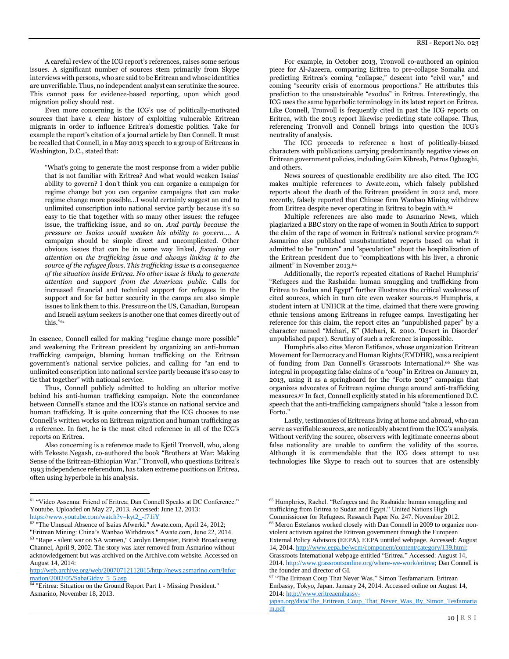Even more concerning is the ICG's use of politically-motivated sources that have a clear history of exploiting vulnerable Eritrean migrants in order to influence Eritrea's domestic politics. Take for example the report's citation of a journal article by Dan Connell. It must be recalled that Connell, in a May 2013 speech to a group of Eritreans in Washington, D.C., stated that:

"What's going to generate the most response from a wider public that is not familiar with Eritrea? And what would weaken Isaias' ability to govern? I don't think you can organize a campaign for regime change but you can organize campaigns that can make regime change more possible…I would certainly suggest an end to unlimited conscription into national service partly because it's so easy to tie that together with so many other issues: the refugee issue, the trafficking issue, and so on. *And partly because the pressure on Isaias would weaken his ability to govern*…. A campaign should be simple direct and uncomplicated. Other obvious issues that can be in some way linked, *focusing our attention on the trafficking issue and always linking it to the source of the refugee flows. This trafficking issue is a consequence of the situation inside Eritrea. No other issue is likely to generate attention and support from the American public.* Calls for increased financial and technical support for refugees in the support and for far better security in the camps are also simple issues to link them to this. Pressure on the US, Canadian, European and Israeli asylum seekers is another one that comes directly out of this."<sup>61</sup>

In essence, Connell called for making "regime change more possible" and weakening the Eritrean president by organizing an anti-human trafficking campaign, blaming human trafficking on the Eritrean government's national service policies, and calling for "an end to unlimited conscription into national service partly because it's so easy to tie that together" with national service.

Thus, Connell publicly admitted to holding an ulterior motive behind his anti-human trafficking campaign. Note the concordance between Connell's stance and the ICG's stance on national service and human trafficking. It is quite concerning that the ICG chooses to use Connell's written works on Eritrean migration and human trafficking as a reference. In fact, he is the most cited reference in all of the ICG's reports on Eritrea.

Also concerning is a reference made to Kjetil Tronvoll, who, along with Tekeste Negash, co-authored the book "Brothers at War: Making Sense of the Eritrean-Ethiopian War." Tronvoll, who questions Eritrea's 1993 independence referendum, has taken extreme positions on Eritrea, often using hyperbole in his analysis.

 $\overline{\phantom{a}}$ 

For example, in October 2013, Tronvoll co-authored an opinion piece for Al-Jazeera, comparing Eritrea to pre-collapse Somalia and predicting Eritrea's coming "collapse," descent into "civil war," and coming "security crisis of enormous proportions." He attributes this prediction to the unsustainable "exodus" in Eritrea. Interestingly, the ICG uses the same hyperbolic terminology in its latest report on Eritrea. Like Connell, Tronvoll is frequently cited in past the ICG reports on Eritrea, with the 2013 report likewise predicting state collapse. Thus, referencing Tronvoll and Connell brings into question the ICG's neutrality of analysis.

The ICG proceeds to reference a host of politically-biased characters with publications carrying predominantly negative views on Eritrean government policies, including Gaim Kibreab, Petros Ogbazghi, and others.

News sources of questionable credibility are also cited. The ICG makes multiple references to Awate.com, which falsely published reports about the death of the Eritrean president in 2012 and, more recently, falsely reported that Chinese firm Wanbao Mining withdrew from Eritrea despite never operating in Eritrea to begin with.<sup>62</sup>

Multiple references are also made to Asmarino News, which plagiarized a BBC story on the rape of women in South Africa to support the claim of the rape of women in Eritrea's national service program.<sup>63</sup> Asmarino also published unsubstantiated reports based on what it admitted to be "rumors" and "speculation" about the hospitalization of the Eritrean president due to "complications with his liver, a chronic ailment" in November 2013.<sup>64</sup>

Additionally, the report's repeated citations of Rachel Humphris' "Refugees and the Rashaida: human smuggling and trafficking from Eritrea to Sudan and Egypt" further illustrates the critical weakness of cited sources, which in turn cite even weaker sources.<sup>65</sup> Humphris, a student intern at UNHCR at the time, claimed that there were growing ethnic tensions among Eritreans in refugee camps. Investigating her reference for this claim, the report cites an "unpublished paper" by a character named "Mehari, K" (Mehari, K. 2010. 'Desert in Disorder' unpublished paper). Scrutiny of such a reference is impossible.

Humphris also cites Meron Estifanos, whose organization Eritrean Movement for Democracy and Human Rights (EMDHR), was a recipient of funding from Dan Connell's Grassroots International.<sup>66</sup> She was integral in propagating false claims of a "coup" in Eritrea on January 21, 2013, using it as a springboard for the "Forto 2013″ campaign that organizes advocates of Eritrean regime change around anti-trafficking measures.<sup>67</sup> In fact, Connell explicitly stated in his aforementioned D.C. speech that the anti-trafficking campaigners should "take a lesson from Forto."

Lastly, testimonies of Eritreans living at home and abroad, who can serve as verifiable sources, are noticeably absent from the ICG's analysis. Without verifying the source, observers with legitimate concerns about false nationality are unable to confirm the validity of the source. Although it is commendable that the ICG does attempt to use technologies like Skype to reach out to sources that are ostensibly

<sup>61</sup> "Video Assenna: Friend of Eritrea; Dan Connell Speaks at DC Conference." Youtube. Uploaded on May 27, 2013. Accessed: June 12, 2013:

[https://www.youtube.com/watch?v=kyt2\\_-f71iY](https://www.youtube.com/watch?v=kyt2_-f71iY)

<sup>&</sup>lt;sup>62</sup> "The Unusual Absence of Isaias Afwerki." Awate.com, April 24, 2012; "Eritrean Mining: China's Wanbao Withdraws." Awate.com, June 22, 2014. <sup>63</sup> "Rape - silent war on SA women," Carolyn Dempster, British Broadcasting Channel, April 9, 2002. The story was later removed from Asmarino without acknowledgement but was archived on the Archive.com website. Accessed on August 14, 2014:

[http://web.archive.org/web/20070712112015/http://news.asmarino.com/Infor](http://web.archive.org/web/20070712112015/http:/news.asmarino.com/Information/2002/05/SabaGiday_5_5.asp) [mation/2002/05/SabaGiday\\_5\\_5.asp](http://web.archive.org/web/20070712112015/http:/news.asmarino.com/Information/2002/05/SabaGiday_5_5.asp)

<sup>&</sup>lt;sup>64</sup> "Eritrea: Situation on the Ground Report Part 1 - Missing President." Asmarino, November 18, 2013.

<sup>65</sup> Humphries, Rachel. "Refugees and the Rashaida: human smuggling and trafficking from Eritrea to Sudan and Egypt." United Nations High Commissioner for Refugees. Research Paper No. 247. November 2012. <sup>66</sup> Meron Estefanos worked closely with Dan Connell in 2009 to organize non-

violent activism against the Eritrean government through the European External Policy Advisors (EEPA). EEPA untitled webpage. Accessed: August 14, 2014[. http://www.eepa.be/wcm/component/content/category/139.html;](http://www.eepa.be/wcm/component/content/category/139.html)

Grassroots International webpage entitled "Eritrea." Accessed: August 14, 2014[. http://www.grassrootsonline.org/where-we-work/eritrea;](http://www.grassrootsonline.org/where-we-work/eritrea) Dan Connell is

the founder and director of GI. <sup>67</sup> "The Eritrean Coup That Never Was." Simon Tesfamariam. Eritrean

Embassy, Tokyo, Japan. January 24, 2014. Accessed online on August 14, 2014[: http://www.eritreaembassy-](http://www.eritreaembassy-japan.org/data/The_Eritrean_Coup_That_Never_Was_By_Simon_Tesfamariam.pdf)

[japan.org/data/The\\_Eritrean\\_Coup\\_That\\_Never\\_Was\\_By\\_Simon\\_Tesfamaria](http://www.eritreaembassy-japan.org/data/The_Eritrean_Coup_That_Never_Was_By_Simon_Tesfamariam.pdf) [m.pdf](http://www.eritreaembassy-japan.org/data/The_Eritrean_Coup_That_Never_Was_By_Simon_Tesfamariam.pdf)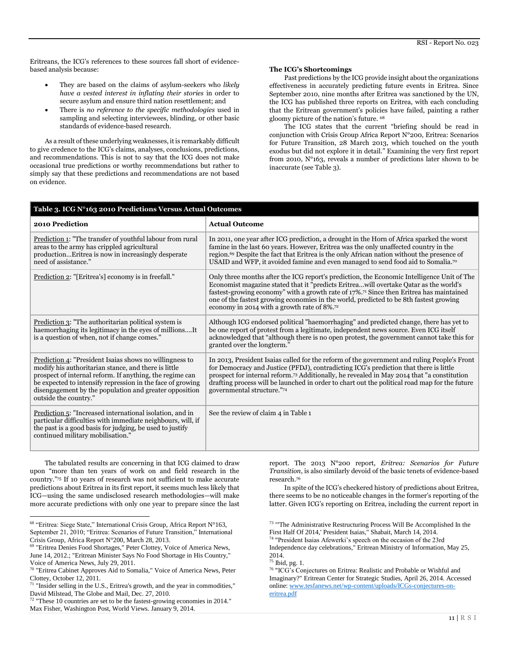Eritreans, the ICG's references to these sources fall short of evidencebased analysis because:

- They are based on the claims of asylum-seekers who *likely have a vested interest in inflating their stories* in order to secure asylum and ensure third nation resettlement; and
- There is *no reference to the specific methodologies* used in sampling and selecting interviewees, blinding, or other basic standards of evidence-based research.

As a result of these underlying weaknesses, it is remarkably difficult to give credence to the ICG's claims, analyses, conclusions, predictions, and recommendations. This is not to say that the ICG does not make occasional true predictions or worthy recommendations but rather to simply say that these predictions and recommendations are not based on evidence.

#### **The ICG's Shortcomings**

Past predictions by the ICG provide insight about the organizations effectiveness in accurately predicting future events in Eritrea. Since September 2010, nine months after Eritrea was sanctioned by the UN, the ICG has published three reports on Eritrea, with each concluding that the Eritrean government's policies have failed, painting a rather gloomy picture of the nation's future. <sup>68</sup>

The ICG states that the current "briefing should be read in conjunction with Crisis Group Africa Report N°200, Eritrea: Scenarios for Future Transition, 28 March 2013, which touched on the youth exodus but did not explore it in detail." Examining the very first report from 2010, N°163, reveals a number of predictions later shown to be inaccurate (see Table 3).

| Table 3. ICG Nº163 2010 Predictions Versus Actual Outcomes                                                                                                                                                                                                                                                                   |                                                                                                                                                                                                                                                                                                                                                                                                                                                     |  |  |  |
|------------------------------------------------------------------------------------------------------------------------------------------------------------------------------------------------------------------------------------------------------------------------------------------------------------------------------|-----------------------------------------------------------------------------------------------------------------------------------------------------------------------------------------------------------------------------------------------------------------------------------------------------------------------------------------------------------------------------------------------------------------------------------------------------|--|--|--|
| 2010 Prediction                                                                                                                                                                                                                                                                                                              | <b>Actual Outcome</b>                                                                                                                                                                                                                                                                                                                                                                                                                               |  |  |  |
| Prediction 1: "The transfer of youthful labour from rural<br>areas to the army has crippled agricultural<br>productionEritrea is now in increasingly desperate<br>need of assistance."                                                                                                                                       | In 2011, one year after ICG prediction, a drought in the Horn of Africa sparked the worst<br>famine in the last 60 years. However, Eritrea was the only unaffected country in the<br>region. <sup>69</sup> Despite the fact that Eritrea is the only African nation without the presence of<br>USAID and WFP, it avoided famine and even managed to send food aid to Somalia. <sup>70</sup>                                                         |  |  |  |
| Prediction 2: "[Eritrea's] economy is in freefall."                                                                                                                                                                                                                                                                          | Only three months after the ICG report's prediction, the Economic Intelligence Unit of The<br>Economist magazine stated that it "predicts Eritreawill overtake Qatar as the world's<br>fastest-growing economy" with a growth rate of 17%. <sup>71</sup> Since then Eritrea has maintained<br>one of the fastest growing economies in the world, predicted to be 8th fastest growing<br>economy in 2014 with a growth rate of $8\%$ . <sup>72</sup> |  |  |  |
| Prediction 3: "The authoritarian political system is<br>haemorrhaging its legitimacy in the eyes of millionsIt<br>is a question of when, not if change comes."                                                                                                                                                               | Although ICG endorsed political "haemorrhaging" and predicted change, there has yet to<br>be one report of protest from a legitimate, independent news source. Even ICG itself<br>acknowledged that "although there is no open protest, the government cannot take this for<br>granted over the longterm."                                                                                                                                          |  |  |  |
| Prediction 4: "President Isaias shows no willingness to<br>modify his authoritarian stance, and there is little<br>prospect of internal reform. If anything, the regime can<br>be expected to intensify repression in the face of growing<br>disengagement by the population and greater opposition<br>outside the country." | In 2013, President Isaias called for the reform of the government and ruling People's Front<br>for Democracy and Justice (PFDJ), contradicting ICG's prediction that there is little<br>prospect for internal reform. <sup>73</sup> Additionally, he revealed in May 2014 that "a constitution<br>drafting process will be launched in order to chart out the political road map for the future<br>governmental structure."74                       |  |  |  |
| Prediction 5: "Increased international isolation, and in<br>particular difficulties with immediate neighbours, will, if<br>the past is a good basis for judging, be used to justify<br>continued military mobilisation."                                                                                                     | See the review of claim 4 in Table 1                                                                                                                                                                                                                                                                                                                                                                                                                |  |  |  |

The tabulated results are concerning in that ICG claimed to draw upon "more than ten years of work on and field research in the country."<sup>75</sup> If 10 years of research was not sufficient to make accurate predictions about Eritrea in its first report, it seems much less likely that ICG—using the same undisclosed research methodologies—will make more accurate predictions with only one year to prepare since the last

l

report. The 2013 N°200 report, *Eritrea: Scenarios for Future Transition*, is also similarly devoid of the basic tenets of evidence-based research.<sup>76</sup>

In spite of the ICG's checkered history of predictions about Eritrea, there seems to be no noticeable changes in the former's reporting of the latter. Given ICG's reporting on Eritrea, including the current report in

<sup>74</sup> "President Isaias Afewerki's speech on the occasion of the 23rd

Independence day celebrations," Eritrean Ministry of Information, May 25, 2014.

<sup>75</sup> Ibid, pg. 1.

<sup>76</sup> "ICG's Conjectures on Eritrea: Realistic and Probable or Wishful and Imaginary?" Eritrean Center for Strategic Studies, April 26, 2014. Accessed online[: www.tesfanews.net/wp-content/uploads/ICGs-conjectures-on](http://www.tesfanews.net/wp-content/uploads/ICGs-conjectures-on-eritrea.pdf)[eritrea.pdf](http://www.tesfanews.net/wp-content/uploads/ICGs-conjectures-on-eritrea.pdf)

<sup>68</sup> "Eritrea: Siege State," International Crisis Group, Africa Report N°163, September 21, 2010; "Eritrea: Scenarios of Future Transition," International Crisis Group, Africa Report N°200, March 28, 2013.

<sup>69</sup> "Eritrea Denies Food Shortages," Peter Clottey, Voice of America News, June 14, 2012.; "Eritrean Minister Says No Food Shortage in His Country," Voice of America News, July 29, 2011.

<sup>70</sup> "Eritrea Cabinet Approves Aid to Somalia," Voice of America News, Peter Clottey, October 12, 2011.

<sup>&</sup>lt;sup>71</sup> "Insider selling in the U.S., Eritrea's growth, and the year in commodities," David Milstead, The Globe and Mail, Dec. 27, 2010.

<sup>&</sup>lt;sup>72</sup> "These 10 countries are set to be the fastest-growing economies in 2014." Max Fisher, Washington Post, World Views. January 9, 2014.

<sup>&</sup>lt;sup>73</sup> "The Administrative Restructuring Process Will Be Accomplished In the First Half Of 2014,' President Isaias," Shabait, March 14, 2014.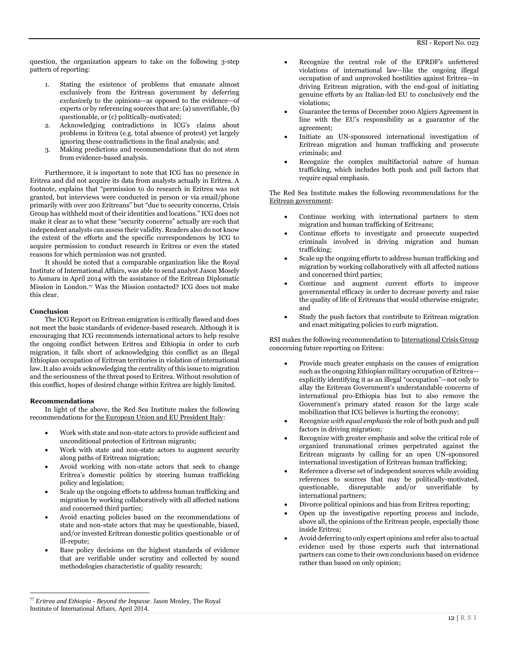question, the organization appears to take on the following 3-step pattern of reporting:

- 1. Stating the existence of problems that emanate almost exclusively from the Eritrean government by deferring *exclusively* to the opinions—as opposed to the evidence—of experts or by referencing sources that are: (a) unverifiable, (b) questionable, or (c) politically-motivated;
- 2. Acknowledging contradictions in ICG's claims about problems in Eritrea (e.g. total absence of protest) yet largely ignoring these contradictions in the final analysis; and
- 3. Making predictions and recommendations that do not stem from evidence-based analysis.

Furthermore, it is important to note that ICG has no presence in Eritrea and did not acquire its data from analysts actually in Eritrea. A footnote, explains that "permission to do research in Eritrea was not granted, but interviews were conducted in person or via email/phone primarily with over 200 Eritreans" but "due to security concerns, Crisis Group has withheld most of their identities and locations." ICG does not make it clear as to what these "security concerns" actually are such that independent analysts can assess their validity. Readers also do not know the extent of the efforts and the specific correspondences by ICG to acquire permission to conduct research in Eritrea or even the stated reasons for which permission was not granted.

It should be noted that a comparable organization like the Royal Institute of International Affairs, was able to send analyst Jason Mosely to Asmara in April 2014 with the assistance of the Eritrean Diplomatic Mission in London.<sup>77</sup> Was the Mission contacted? ICG does not make this clear.

#### **Conclusion**

The ICG Report on Eritrean emigration is critically flawed and does not meet the basic standards of evidence-based research. Although it is encouraging that ICG recommends international actors to help resolve the ongoing conflict between Eritrea and Ethiopia in order to curb migration, it falls short of acknowledging this conflict as an illegal Ethiopian occupation of Eritrean territories in violation of international law. It also avoids acknowledging the centrality of this issue to migration and the seriousness of the threat posed to Eritrea. Without resolution of this conflict, hopes of desired change within Eritrea are highly limited.

# **Recommendations**

 $\overline{\phantom{a}}$ 

In light of the above, the Red Sea Institute makes the following recommendations for the European Union and EU President Italy:

- Work with state and non-state actors to provide sufficient and unconditional protection of Eritrean migrants;
- Work with state and non-state actors to augment security along paths of Eritrean migration;
- Avoid working with non-state actors that seek to change Eritrea's domestic politics by steering human trafficking policy and legislation;
- Scale up the ongoing efforts to address human trafficking and migration by working collaboratively with all affected nations and concerned third parties;
- Avoid enacting policies based on the recommendations of state and non-state actors that may be questionable, biased, and/or invested Eritrean domestic politics questionable or of ill-repute;
- Base policy decisions on the highest standards of evidence that are verifiable under scrutiny and collected by sound methodologies characteristic of quality research;
- Recognize the central role of the EPRDF's unfettered violations of international law—like the ongoing illegal occupation of and unprovoked hostilities against Eritrea—in driving Eritrean migration, with the end-goal of initiating genuine efforts by an Italian-led EU to conclusively end the violations;
- Guarantee the terms of December 2000 Algiers Agreement in line with the EU's responsibility as a guarantor of the agreement;
- Initiate an UN-sponsored international investigation of Eritrean migration and human trafficking and prosecute criminals; and
- Recognize the complex multifactorial nature of human trafficking, which includes both push and pull factors that require equal emphasis.

The Red Sea Institute makes the following recommendations for the Eritrean government:

- Continue working with international partners to stem migration and human trafficking of Eritreans;
- Continue efforts to investigate and prosecute suspected criminals involved in driving migration and human trafficking;
- Scale up the ongoing efforts to address human trafficking and migration by working collaboratively with all affected nations and concerned third parties;
- Continue and augment current efforts to improve governmental efficacy in order to decrease poverty and raise the quality of life of Eritreans that would otherwise emigrate; and
- Study the push factors that contribute to Eritrean migration and enact mitigating policies to curb migration.

RSI makes the following recommendation to International Crisis Group concerning future reporting on Eritrea:

- Provide much greater emphasis on the causes of emigration such as the ongoing Ethiopian military occupation of Eritrea explicitly identifying it as an illegal "occupation"—not only to allay the Eritrean Government's understandable concerns of international pro-Ethiopia bias but to also remove the Government's primary stated reason for the large scale mobilization that ICG believes is hurting the economy;
- Recognize *with equal emphasis* the role of both push and pull factors in driving migration;
- Recognize with greater emphasis and solve the critical role of organized transnational crimes perpetrated against the Eritrean migrants by calling for an open UN-sponsored international investigation of Eritrean human trafficking;
- Reference a diverse set of independent sources while avoiding references to sources that may be politically-motivated, questionable, disreputable and/or unverifiable by international partners;
- Divorce political opinions and bias from Eritrea reporting;
- Open up the investigative reporting process and include, above all, the opinions of the Eritrean people, especially those inside Eritrea;
- Avoid deferring to only expert opinions and refer also to actual evidence used by those experts such that international partners can come to their own conclusions based on evidence rather than based on only opinion;

<sup>77</sup> *Eritrea and Ethiopia - Beyond the Impasse*. Jason Mosley, The Royal Institute of International Affairs, April 2014.